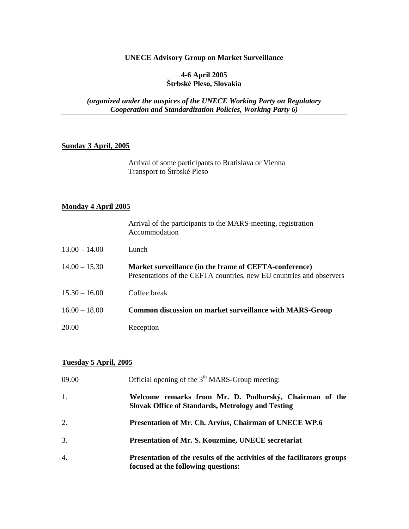## **UNECE Advisory Group on Market Surveillance**

#### **4-6 April 2005 Štrbské Pleso, Slovakia**

*(organized under the auspices of the UNECE Working Party on Regulatory Cooperation and Standardization Policies, Working Party 6)* 

## **Sunday 3 April, 2005**

 Arrival of some participants to Bratislava or Vienna Transport to Štrbské Pleso

# **Monday 4 April 2005**

|                 | Arrival of the participants to the MARS-meeting, registration<br>Accommodation                                                 |
|-----------------|--------------------------------------------------------------------------------------------------------------------------------|
| $13.00 - 14.00$ | Lunch                                                                                                                          |
| $14.00 - 15.30$ | Market surveillance (in the frame of CEFTA-conference)<br>Presentations of the CEFTA countries, new EU countries and observers |
| $15.30 - 16.00$ | Coffee break                                                                                                                   |
| $16.00 - 18.00$ | <b>Common discussion on market surveillance with MARS-Group</b>                                                                |
| 20.00           | Reception                                                                                                                      |

#### **Tuesday 5 April, 2005**

| 09.00            | Official opening of the $3th$ MARS-Group meeting:                                                                  |
|------------------|--------------------------------------------------------------------------------------------------------------------|
| -1.              | Welcome remarks from Mr. D. Podhorský, Chairman of the<br><b>Slovak Office of Standards, Metrology and Testing</b> |
| 2.               | Presentation of Mr. Ch. Arvíus, Chairman of UNECE WP.6                                                             |
| 3.               | Presentation of Mr. S. Kouzmine, UNECE secretariat                                                                 |
| $\overline{4}$ . | Presentation of the results of the activities of the facilitators groups<br>focused at the following questions:    |